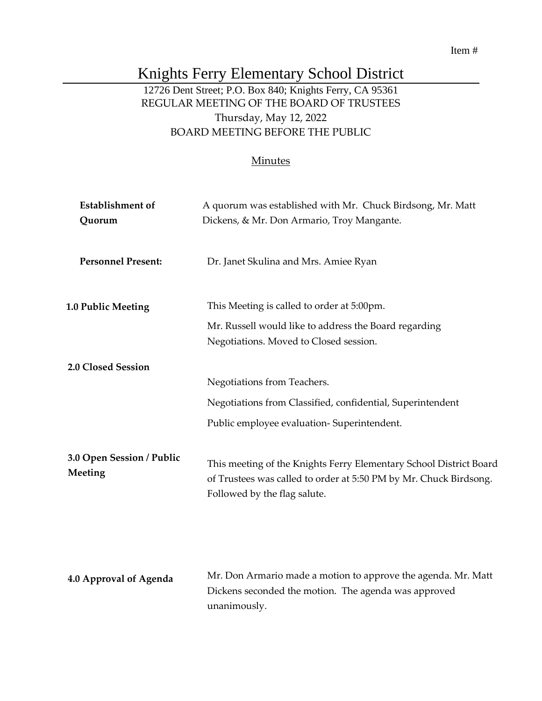### Item #

# Knights Ferry Elementary School District

# 12726 Dent Street; P.O. Box 840; Knights Ferry, CA 95361 REGULAR MEETING OF THE BOARD OF TRUSTEES Thursday, May 12, 2022 BOARD MEETING BEFORE THE PUBLIC

### **Minutes**

| <b>Establishment</b> of              | A quorum was established with Mr. Chuck Birdsong, Mr. Matt           |
|--------------------------------------|----------------------------------------------------------------------|
| Quorum                               | Dickens, & Mr. Don Armario, Troy Mangante.                           |
| <b>Personnel Present:</b>            |                                                                      |
|                                      | Dr. Janet Skulina and Mrs. Amiee Ryan                                |
|                                      |                                                                      |
| 1.0 Public Meeting                   | This Meeting is called to order at 5:00pm.                           |
|                                      | Mr. Russell would like to address the Board regarding                |
|                                      | Negotiations. Moved to Closed session.                               |
| 2.0 Closed Session                   |                                                                      |
|                                      | Negotiations from Teachers.                                          |
|                                      | Negotiations from Classified, confidential, Superintendent           |
|                                      | Public employee evaluation-Superintendent.                           |
|                                      |                                                                      |
| 3.0 Open Session / Public<br>Meeting | This meeting of the Knights Ferry Elementary School District Board   |
|                                      | of Trustees was called to order at 5:50 PM by Mr. Chuck Birdsong.    |
|                                      | Followed by the flag salute.                                         |
|                                      |                                                                      |
|                                      |                                                                      |
|                                      |                                                                      |
| 4.0 Approval of Agenda               | Mr. Don Armario made a motion to approve the agenda. Mr. Matt        |
|                                      | Dickens seconded the motion. The agenda was approved<br>unanimously. |
|                                      |                                                                      |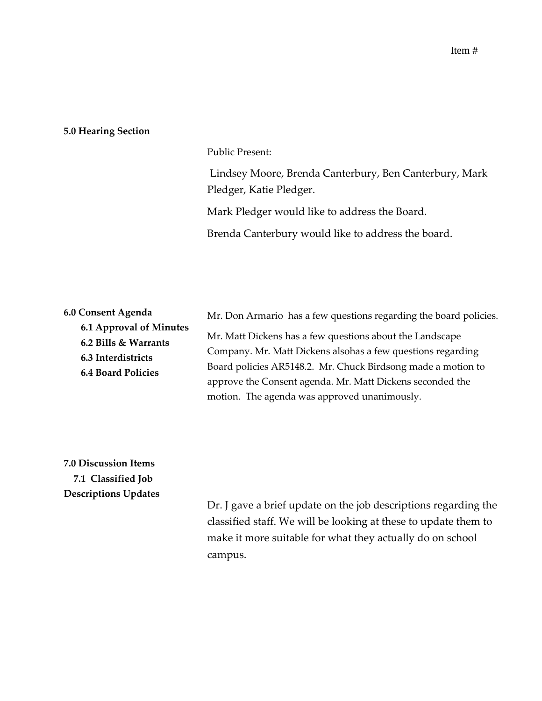#### **5.0 Hearing Section**

#### Public Present:

Lindsey Moore, Brenda Canterbury, Ben Canterbury, Mark Pledger, Katie Pledger.

Mark Pledger would like to address the Board.

Brenda Canterbury would like to address the board.

| 6.0 Consent Agenda        | Mr. Don Armario has a few questions regarding the board policies. |
|---------------------------|-------------------------------------------------------------------|
| 6.1 Approval of Minutes   | Mr. Matt Dickens has a few questions about the Landscape          |
| 6.2 Bills & Warrants      | Company. Mr. Matt Dickens alsohas a few questions regarding       |
| 6.3 Interdistricts        | Board policies AR5148.2. Mr. Chuck Birdsong made a motion to      |
| <b>6.4 Board Policies</b> | approve the Consent agenda. Mr. Matt Dickens seconded the         |
|                           | motion. The agenda was approved unanimously.                      |

# **7.0 Discussion Items 7.1 Classified Job Descriptions Updates**

Dr. J gave a brief update on the job descriptions regarding the classified staff. We will be looking at these to update them to make it more suitable for what they actually do on school campus.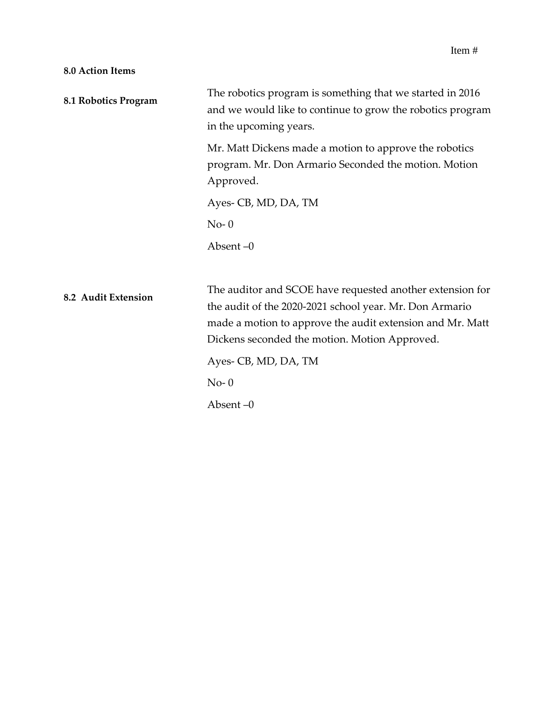### **8.0 Action Items**

| 8.1 Robotics Program | The robotics program is something that we started in 2016<br>and we would like to continue to grow the robotics program<br>in the upcoming years.                                                                                  |
|----------------------|------------------------------------------------------------------------------------------------------------------------------------------------------------------------------------------------------------------------------------|
|                      | Mr. Matt Dickens made a motion to approve the robotics<br>program. Mr. Don Armario Seconded the motion. Motion<br>Approved.                                                                                                        |
|                      | Ayes- CB, MD, DA, TM                                                                                                                                                                                                               |
|                      | $No-0$                                                                                                                                                                                                                             |
|                      | Absent $-0$                                                                                                                                                                                                                        |
|                      |                                                                                                                                                                                                                                    |
| 8.2 Audit Extension  | The auditor and SCOE have requested another extension for<br>the audit of the 2020-2021 school year. Mr. Don Armario<br>made a motion to approve the audit extension and Mr. Matt<br>Dickens seconded the motion. Motion Approved. |
|                      | Ayes- CB, MD, DA, TM                                                                                                                                                                                                               |
|                      | $No-0$                                                                                                                                                                                                                             |
|                      | Absent $-0$                                                                                                                                                                                                                        |